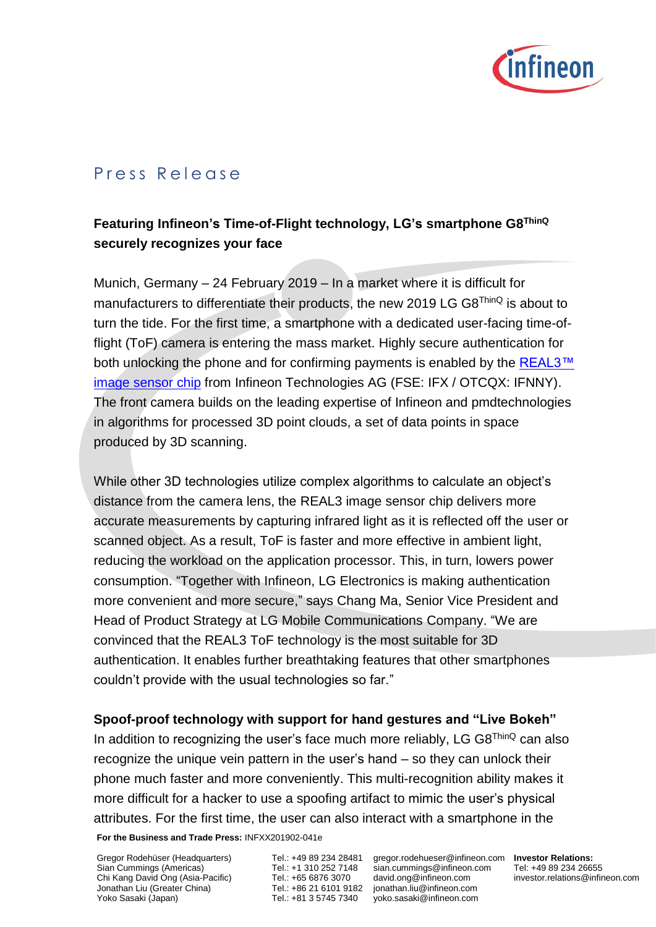

## Press Release

## **Featuring Infineon's Time-of-Flight technology, LG's smartphone G8ThinQ securely recognizes your face**

Munich, Germany – 24 February 2019 – In a market where it is difficult for manufacturers to differentiate their products, the new 2019 LG G8<sup>ThinQ</sup> is about to turn the tide. For the first time, a smartphone with a dedicated user-facing time-offlight (ToF) camera is entering the mass market. Highly secure authentication for both unlocking the phone and for confirming payments is enabled by the REAL3™ [image sensor chip](https://www.infineon.com/REAL3) from Infineon Technologies AG (FSE: IFX / OTCQX: IFNNY). The front camera builds on the leading expertise of Infineon and pmdtechnologies in algorithms for processed 3D point clouds, a set of data points in space produced by 3D scanning.

While other 3D technologies utilize complex algorithms to calculate an object's distance from the camera lens, the REAL3 image sensor chip delivers more accurate measurements by capturing infrared light as it is reflected off the user or scanned object. As a result, ToF is faster and more effective in ambient light, reducing the workload on the application processor. This, in turn, lowers power consumption. "Together with Infineon, LG Electronics is making authentication more convenient and more secure," says Chang Ma, Senior Vice President and Head of Product Strategy at LG Mobile Communications Company. "We are convinced that the REAL3 ToF technology is the most suitable for 3D authentication. It enables further breathtaking features that other smartphones couldn't provide with the usual technologies so far."

## **Spoof-proof technology with support for hand gestures and "Live Bokeh"**

**For the Business and Trade Press:** INFXX201902-041e In addition to recognizing the user's face much more reliably, LG  $G8^{ThinQ}$  can also recognize the unique vein pattern in the user's hand – so they can unlock their phone much faster and more conveniently. This multi-recognition ability makes it more difficult for a hacker to use a spoofing artifact to mimic the user's physical attributes. For the first time, the user can also interact with a smartphone in the

Gregor Rodehüser (Headquarters) Sian Cummings (Americas) Chi Kang David Ong (Asia-Pacific) Jonathan Liu (Greater China) Yoko Sasaki (Japan)

Tel.: +1 310 252 7148 Tel.: +65 6876 3070

Tel.: +49 89 234 28481 gregor.rodehueser@infineon.com **Investor Relations:** Tel.: +86 21 6101 9182 jonathan.liu@infineon.com Tel.: +81 3 5745 7340 yoko.sasaki@infineon.com sian.cummings@infineon.co[m](mailto:david.ong@infineon.com) [david.ong@infineon.com](mailto:david.ong@infineon.com)

Tel: +49 89 234 26655 investor.relations@infineon.com